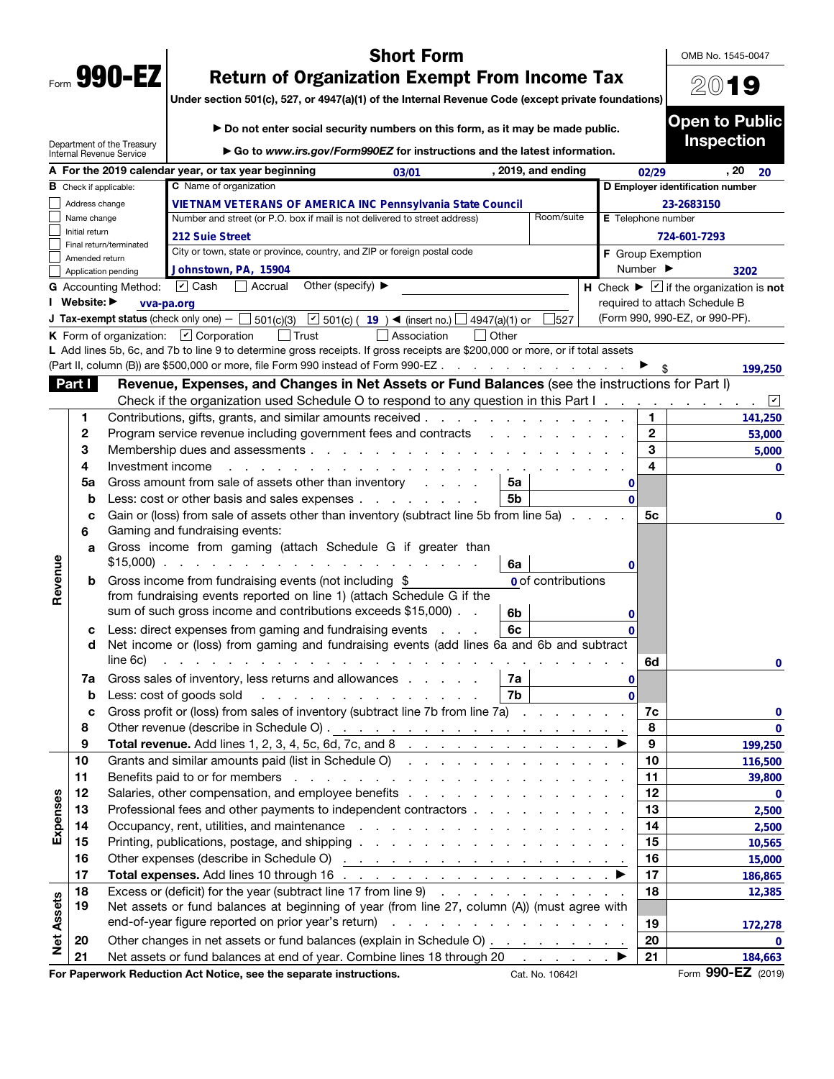|      | 990- |  |
|------|------|--|
| Form | v    |  |

## Short Form

OMB No. 1545-0047

2019

Open to Public

# Return of Organization Exempt From Income Tax

Under section 501(c), 527, or 4947(a)(1) of the Internal Revenue Code (except private foundations)

▶ Do not enter social security numbers on this form, as it may be made public.

|                   |                                      | Department of the Treasury<br>Internal Revenue Service | Go to www.irs.gov/Form990EZ for instructions and the latest information.                                                                                                                                                             |               |                    | <b>Inspection</b>                                                |              |
|-------------------|--------------------------------------|--------------------------------------------------------|--------------------------------------------------------------------------------------------------------------------------------------------------------------------------------------------------------------------------------------|---------------|--------------------|------------------------------------------------------------------|--------------|
|                   |                                      |                                                        | A For the 2019 calendar year, or tax year beginning<br>, 2019, and ending<br>03/01                                                                                                                                                   |               | 02/29              | , 20                                                             | 20           |
|                   | $\, {\bf B} \,$ Check if applicable: |                                                        | C Name of organization                                                                                                                                                                                                               |               |                    | D Employer identification number                                 |              |
|                   | Address change                       |                                                        | <b>VIETNAM VETERANS OF AMERICA INC Pennsylvania State Council</b>                                                                                                                                                                    |               |                    | 23-2683150                                                       |              |
|                   | Name change                          |                                                        | Room/suite<br>Number and street (or P.O. box if mail is not delivered to street address)                                                                                                                                             |               | E Telephone number |                                                                  |              |
|                   | Initial return                       |                                                        | 212 Suie Street                                                                                                                                                                                                                      |               |                    | 724-601-7293                                                     |              |
|                   | Amended return                       | Final return/terminated                                | City or town, state or province, country, and ZIP or foreign postal code                                                                                                                                                             |               | F Group Exemption  |                                                                  |              |
|                   | Application pending                  |                                                        | Johnstown, PA, 15904                                                                                                                                                                                                                 |               | Number ▶           |                                                                  | 3202         |
|                   |                                      | <b>G</b> Accounting Method:                            | Other (specify) $\blacktriangleright$<br>$\overline{\mathbf{v}}$ Cash<br>Accrual                                                                                                                                                     |               |                    | H Check $\blacktriangleright \square$ if the organization is not |              |
|                   | Website: ▶                           | vva-pa.org                                             |                                                                                                                                                                                                                                      |               |                    | required to attach Schedule B                                    |              |
|                   |                                      |                                                        | <b>J Tax-exempt status</b> (check only one) $ \Box$ 501(c)(3)<br>■ 501(c) ( 19 ) ● (insert no.) $\Box$ 4947(a)(1) or<br>$\frac{1527}{2}$                                                                                             |               |                    | (Form 990, 990-EZ, or 990-PF).                                   |              |
|                   |                                      |                                                        | K Form of organization: $\boxed{\mathbf{v}}$ Corporation<br>$\vert$ Trust<br>$\Box$ Other<br>Association                                                                                                                             |               |                    |                                                                  |              |
|                   |                                      |                                                        | L Add lines 5b, 6c, and 7b to line 9 to determine gross receipts. If gross receipts are \$200,000 or more, or if total assets                                                                                                        |               |                    |                                                                  |              |
|                   |                                      |                                                        | Part II, column (B)) are \$500,000 or more, file Form 990 instead of Form 990-EZ                                                                                                                                                     |               |                    |                                                                  | 199,250      |
|                   | Part I                               |                                                        | Revenue, Expenses, and Changes in Net Assets or Fund Balances (see the instructions for Part I)                                                                                                                                      |               |                    |                                                                  |              |
|                   |                                      |                                                        | Check if the organization used Schedule O to respond to any question in this Part I.                                                                                                                                                 |               |                    |                                                                  | ⊻<br>$\sim$  |
|                   | 1                                    |                                                        | Contributions, gifts, grants, and similar amounts received                                                                                                                                                                           |               | 1                  |                                                                  | 141,250      |
|                   | 2                                    |                                                        | Program service revenue including government fees and contracts                                                                                                                                                                      |               | 2                  |                                                                  | 53,000       |
|                   | 3                                    |                                                        | Membership dues and assessments                                                                                                                                                                                                      |               | 3                  |                                                                  | 5,000        |
|                   | 4                                    | Investment income                                      |                                                                                                                                                                                                                                      |               | 4                  |                                                                  | $\mathbf{0}$ |
|                   | 5a                                   |                                                        | Gross amount from sale of assets other than inventory<br>5a                                                                                                                                                                          | 0             |                    |                                                                  |              |
|                   | b                                    |                                                        | Less: cost or other basis and sales expenses<br>5 <sub>b</sub>                                                                                                                                                                       | $\Omega$      |                    |                                                                  |              |
|                   | с                                    |                                                        | Gain or (loss) from sale of assets other than inventory (subtract line 5b from line 5a)                                                                                                                                              |               | 5c                 |                                                                  | 0            |
|                   | 6                                    |                                                        | Gaming and fundraising events:                                                                                                                                                                                                       |               |                    |                                                                  |              |
|                   | a                                    |                                                        | Gross income from gaming (attach Schedule G if greater than                                                                                                                                                                          |               |                    |                                                                  |              |
| Revenue           |                                      | \$15,000)                                              | and the contract of the contract of the contract of the contract of the contract of the contract of the contract of the contract of the contract of the contract of the contract of the contract of the contract of the contra<br>6a | 0             |                    |                                                                  |              |
|                   | b                                    |                                                        | 0 of contributions<br>Gross income from fundraising events (not including \$                                                                                                                                                         |               |                    |                                                                  |              |
|                   |                                      |                                                        | from fundraising events reported on line 1) (attach Schedule G if the<br>sum of such gross income and contributions exceeds \$15,000).                                                                                               |               |                    |                                                                  |              |
|                   |                                      |                                                        | 6b                                                                                                                                                                                                                                   | 0             |                    |                                                                  |              |
|                   | с<br>d                               |                                                        | 6c<br>Less: direct expenses from gaming and fundraising events<br><b>Contractor</b><br>Net income or (loss) from gaming and fundraising events (add lines 6a and 6b and subtract                                                     |               |                    |                                                                  |              |
|                   |                                      | line 6c)                                               |                                                                                                                                                                                                                                      |               |                    |                                                                  |              |
|                   |                                      |                                                        | Gross sales of inventory, less returns and allowances                                                                                                                                                                                |               | 6d                 |                                                                  | 0            |
|                   | 7а<br>b                              |                                                        | 7a<br>.<br>7b<br>Less: cost of goods sold                                                                                                                                                                                            | 0<br>$\Omega$ |                    |                                                                  |              |
|                   | c                                    |                                                        | Gross profit or (loss) from sales of inventory (subtract line 7b from line 7a)                                                                                                                                                       |               | 7c                 |                                                                  | 0            |
|                   | 8                                    |                                                        |                                                                                                                                                                                                                                      |               | 8                  |                                                                  | 0            |
|                   | 9                                    |                                                        | Total revenue. Add lines 1, 2, 3, 4, 5c, 6d, 7c, and 8.                                                                                                                                                                              |               | 9                  |                                                                  | 199,250      |
|                   | 10                                   |                                                        | Grants and similar amounts paid (list in Schedule O)                                                                                                                                                                                 |               | 10                 |                                                                  | 116,500      |
|                   | 11                                   |                                                        |                                                                                                                                                                                                                                      |               | 11                 |                                                                  | 39,800       |
|                   | 12                                   |                                                        |                                                                                                                                                                                                                                      |               | 12                 |                                                                  | 0            |
| Expenses          | 13                                   |                                                        | Professional fees and other payments to independent contractors                                                                                                                                                                      |               | 13                 |                                                                  | 2,500        |
|                   | 14                                   |                                                        |                                                                                                                                                                                                                                      |               | 14                 |                                                                  | 2,500        |
|                   | 15                                   |                                                        |                                                                                                                                                                                                                                      |               | 15                 |                                                                  | 10,565       |
|                   | 16                                   |                                                        |                                                                                                                                                                                                                                      |               | 16                 |                                                                  | 15,000       |
|                   | 17                                   |                                                        |                                                                                                                                                                                                                                      |               | 17                 |                                                                  | 186,865      |
|                   | 18                                   |                                                        | Excess or (deficit) for the year (subtract line 17 from line 9)                                                                                                                                                                      |               | 18                 |                                                                  | 12,385       |
|                   | 19                                   |                                                        | Net assets or fund balances at beginning of year (from line 27, column (A)) (must agree with                                                                                                                                         |               |                    |                                                                  |              |
|                   |                                      |                                                        | end-of-year figure reported on prior year's return)<br>and a series of the contract of the contract of                                                                                                                               |               | 19                 |                                                                  | 172,278      |
| <b>Net Assets</b> | 20                                   |                                                        | Other changes in net assets or fund balances (explain in Schedule O)                                                                                                                                                                 |               | 20                 |                                                                  | 0            |
|                   | 21                                   |                                                        | Net assets or fund balances at end of year. Combine lines 18 through 20<br>state and a state                                                                                                                                         |               | 21                 |                                                                  | 184,663      |
|                   |                                      |                                                        | For Paperwork Reduction Act Notice, see the separate instructions.<br>Cat. No. 10642I                                                                                                                                                |               |                    | Form 990-EZ (2019)                                               |              |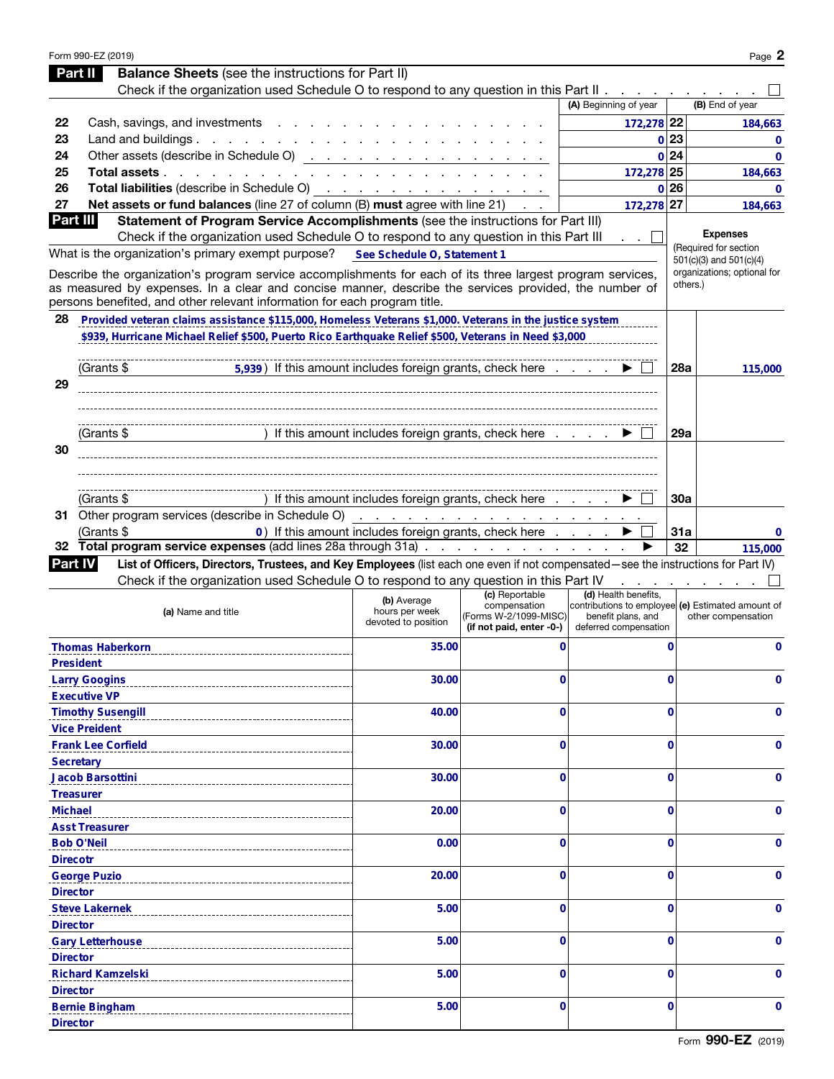|                 | Form 990-EZ (2019)                                                                                                                                                                                                                                                                                |                                                       |                                                                                     |                                                                                                                          |             | Page 2                                  |
|-----------------|---------------------------------------------------------------------------------------------------------------------------------------------------------------------------------------------------------------------------------------------------------------------------------------------------|-------------------------------------------------------|-------------------------------------------------------------------------------------|--------------------------------------------------------------------------------------------------------------------------|-------------|-----------------------------------------|
|                 | <b>Balance Sheets</b> (see the instructions for Part II)<br>Part II                                                                                                                                                                                                                               |                                                       |                                                                                     |                                                                                                                          |             |                                         |
|                 | Check if the organization used Schedule O to respond to any question in this Part II                                                                                                                                                                                                              |                                                       |                                                                                     |                                                                                                                          |             |                                         |
|                 |                                                                                                                                                                                                                                                                                                   |                                                       |                                                                                     | (A) Beginning of year                                                                                                    |             | (B) End of year                         |
| 22              | Cash, savings, and investments                                                                                                                                                                                                                                                                    |                                                       |                                                                                     | 172,278 22                                                                                                               |             | 184,663                                 |
| 23              | Land and buildings. $\ldots$ $\ldots$ $\ldots$ $\ldots$ $\ldots$ $\ldots$                                                                                                                                                                                                                         |                                                       |                                                                                     |                                                                                                                          | 0 23        | 0                                       |
| 24              |                                                                                                                                                                                                                                                                                                   |                                                       |                                                                                     |                                                                                                                          | 0 24        | $\bf{0}$                                |
| 25<br>26        | Total assets                                                                                                                                                                                                                                                                                      |                                                       |                                                                                     | 172,278 25                                                                                                               | 0 26        | 184,663                                 |
| 27              | <b>Total liabilities</b> (describe in Schedule O) $\cdots$ $\cdots$ $\cdots$ $\cdots$ $\cdots$ $\cdots$<br>Net assets or fund balances (line 27 of column (B) must agree with line 21)                                                                                                            |                                                       |                                                                                     |                                                                                                                          |             | $\Omega$                                |
|                 | Part III<br>Statement of Program Service Accomplishments (see the instructions for Part III)                                                                                                                                                                                                      |                                                       |                                                                                     | 172,278 27                                                                                                               |             | 184,663                                 |
|                 | Check if the organization used Schedule O to respond to any question in this Part III                                                                                                                                                                                                             |                                                       |                                                                                     |                                                                                                                          |             | <b>Expenses</b>                         |
|                 | What is the organization's primary exempt purpose?                                                                                                                                                                                                                                                |                                                       |                                                                                     |                                                                                                                          |             | (Required for section                   |
|                 |                                                                                                                                                                                                                                                                                                   | See Schedule O, Statement 1                           |                                                                                     |                                                                                                                          |             | $501(c)(3)$ and $501(c)(4)$             |
|                 | Describe the organization's program service accomplishments for each of its three largest program services,<br>as measured by expenses. In a clear and concise manner, describe the services provided, the number of<br>persons benefited, and other relevant information for each program title. |                                                       |                                                                                     |                                                                                                                          |             | organizations; optional for<br>others.) |
| 28              | Provided veteran claims assistance \$115,000, Homeless Veterans \$1,000. Veterans in the justice system                                                                                                                                                                                           |                                                       |                                                                                     |                                                                                                                          |             |                                         |
|                 | \$939, Hurricane Michael Relief \$500, Puerto Rico Earthquake Relief \$500, Veterans in Need \$3,000                                                                                                                                                                                              |                                                       |                                                                                     |                                                                                                                          |             |                                         |
|                 |                                                                                                                                                                                                                                                                                                   |                                                       |                                                                                     |                                                                                                                          |             |                                         |
|                 | (Grants \$<br>5,939) If this amount includes foreign grants, check here                                                                                                                                                                                                                           |                                                       |                                                                                     |                                                                                                                          | 28a         | 115,000                                 |
| 29              |                                                                                                                                                                                                                                                                                                   |                                                       |                                                                                     |                                                                                                                          |             |                                         |
|                 |                                                                                                                                                                                                                                                                                                   |                                                       |                                                                                     |                                                                                                                          |             |                                         |
|                 |                                                                                                                                                                                                                                                                                                   |                                                       |                                                                                     |                                                                                                                          |             |                                         |
|                 | (Grants \$                                                                                                                                                                                                                                                                                        | ) If this amount includes foreign grants, check here  |                                                                                     |                                                                                                                          | 29a         |                                         |
| 30              |                                                                                                                                                                                                                                                                                                   |                                                       |                                                                                     |                                                                                                                          |             |                                         |
|                 |                                                                                                                                                                                                                                                                                                   |                                                       |                                                                                     |                                                                                                                          |             |                                         |
|                 |                                                                                                                                                                                                                                                                                                   |                                                       |                                                                                     |                                                                                                                          |             |                                         |
|                 | (Grants \$                                                                                                                                                                                                                                                                                        | ) If this amount includes foreign grants, check here  |                                                                                     |                                                                                                                          | <b>30a</b>  |                                         |
|                 |                                                                                                                                                                                                                                                                                                   |                                                       |                                                                                     |                                                                                                                          |             |                                         |
|                 | (Grants \$                                                                                                                                                                                                                                                                                        | 0) If this amount includes foreign grants, check here |                                                                                     |                                                                                                                          | 31a         | 0                                       |
|                 | 32 Total program service expenses (add lines 28a through 31a)                                                                                                                                                                                                                                     |                                                       |                                                                                     |                                                                                                                          | 32          | 115,000                                 |
|                 | List of Officers, Directors, Trustees, and Key Employees (list each one even if not compensated-see the instructions for Part IV)<br><b>Part IV</b>                                                                                                                                               |                                                       |                                                                                     |                                                                                                                          |             |                                         |
|                 | Check if the organization used Schedule O to respond to any question in this Part IV                                                                                                                                                                                                              |                                                       |                                                                                     |                                                                                                                          |             |                                         |
|                 | (a) Name and title                                                                                                                                                                                                                                                                                | (b) Average<br>hours per week<br>devoted to position  | (c) Reportable<br>compensation<br>(Forms W-2/1099-MISC)<br>(if not paid, enter -0-) | (d) Health benefits,<br>contributions to employee (e) Estimated amount of<br>benefit plans, and<br>deferred compensation |             | other compensation                      |
|                 | <b>Thomas Haberkorn</b>                                                                                                                                                                                                                                                                           | 35.00                                                 | 0                                                                                   |                                                                                                                          | $\mathbf 0$ | $\mathbf 0$                             |
|                 | <b>President</b>                                                                                                                                                                                                                                                                                  |                                                       |                                                                                     |                                                                                                                          |             |                                         |
|                 | <b>Larry Googins</b>                                                                                                                                                                                                                                                                              | 30.00                                                 | 0                                                                                   |                                                                                                                          | $\Omega$    | 0                                       |
|                 | <b>Executive VP</b>                                                                                                                                                                                                                                                                               |                                                       |                                                                                     |                                                                                                                          |             |                                         |
|                 | <b>Timothy Susengill</b>                                                                                                                                                                                                                                                                          | 40.00                                                 | 0                                                                                   |                                                                                                                          | $\Omega$    | 0                                       |
|                 | <b>Vice Preident</b>                                                                                                                                                                                                                                                                              |                                                       |                                                                                     |                                                                                                                          |             |                                         |
|                 | <b>Frank Lee Corfield</b>                                                                                                                                                                                                                                                                         | 30.00                                                 | O                                                                                   |                                                                                                                          | 0           | 0                                       |
|                 | <b>Secretary</b>                                                                                                                                                                                                                                                                                  |                                                       |                                                                                     |                                                                                                                          |             |                                         |
|                 | Jacob Barsottini                                                                                                                                                                                                                                                                                  | 30.00                                                 | O                                                                                   |                                                                                                                          | 0           | 0                                       |
|                 | <b>Treasurer</b>                                                                                                                                                                                                                                                                                  |                                                       |                                                                                     |                                                                                                                          |             |                                         |
| <b>Michael</b>  |                                                                                                                                                                                                                                                                                                   | 20.00                                                 | 0                                                                                   |                                                                                                                          | 0           | 0                                       |
|                 | <b>Asst Treasurer</b>                                                                                                                                                                                                                                                                             |                                                       |                                                                                     |                                                                                                                          |             |                                         |
|                 | <b>Bob O'Neil</b>                                                                                                                                                                                                                                                                                 | 0.00                                                  | 0                                                                                   |                                                                                                                          | 0           | 0                                       |
| <b>Direcotr</b> |                                                                                                                                                                                                                                                                                                   |                                                       |                                                                                     |                                                                                                                          |             |                                         |
|                 | <b>George Puzio</b>                                                                                                                                                                                                                                                                               | 20.00                                                 | 0                                                                                   |                                                                                                                          | 0           | 0                                       |
| <b>Director</b> |                                                                                                                                                                                                                                                                                                   |                                                       |                                                                                     |                                                                                                                          |             |                                         |
|                 | <b>Steve Lakernek</b>                                                                                                                                                                                                                                                                             | 5.00                                                  | O                                                                                   |                                                                                                                          | 0           | 0                                       |
| <b>Director</b> |                                                                                                                                                                                                                                                                                                   |                                                       |                                                                                     |                                                                                                                          |             |                                         |
|                 | <b>Gary Letterhouse</b>                                                                                                                                                                                                                                                                           | 5.00                                                  | 0                                                                                   |                                                                                                                          | 0           | 0                                       |
| <b>Director</b> |                                                                                                                                                                                                                                                                                                   |                                                       |                                                                                     |                                                                                                                          |             |                                         |
|                 | <b>Richard Kamzelski</b>                                                                                                                                                                                                                                                                          | 5.00                                                  | 0                                                                                   |                                                                                                                          | 0           | 0                                       |
|                 | <b>Director</b>                                                                                                                                                                                                                                                                                   |                                                       |                                                                                     |                                                                                                                          |             |                                         |
|                 |                                                                                                                                                                                                                                                                                                   |                                                       |                                                                                     |                                                                                                                          |             |                                         |
|                 | <b>Bernie Bingham</b>                                                                                                                                                                                                                                                                             | 5.00                                                  | 0                                                                                   |                                                                                                                          | $\Omega$    | 0                                       |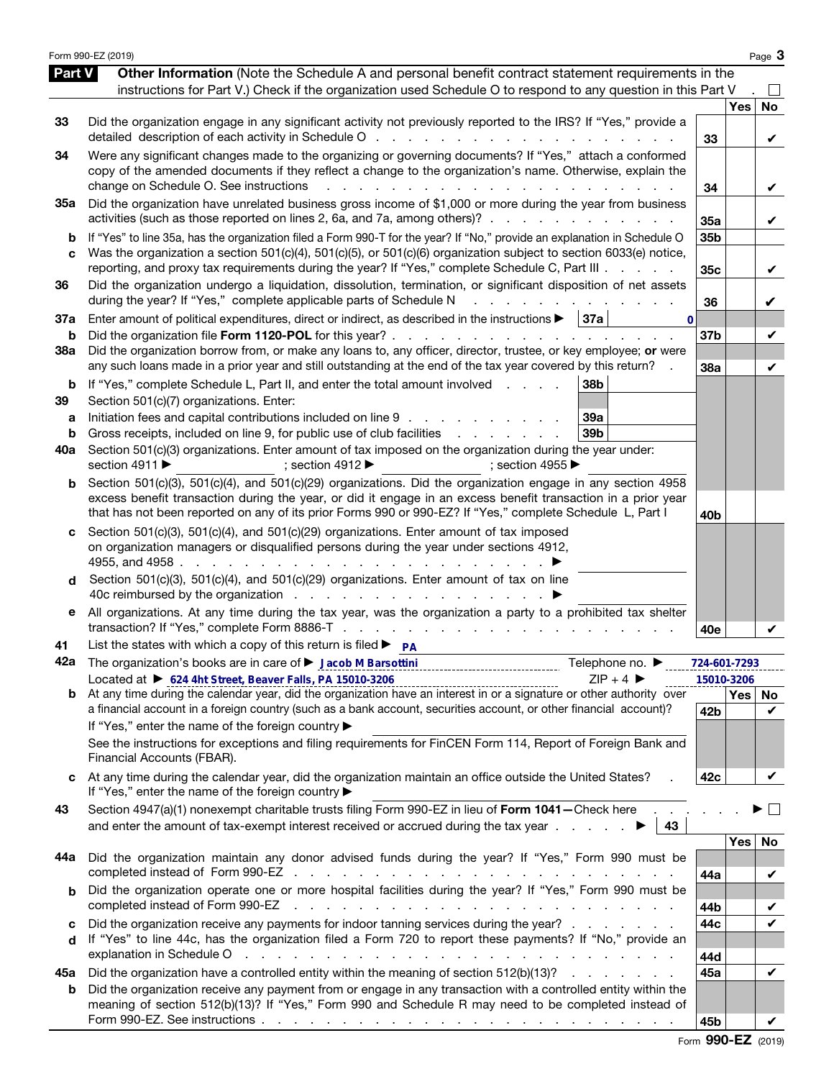|                          | Form 990-EZ (2019)                                                                                                                                                                                                                                                                                                                                                                                                                             |                 |            | Page 3         |
|--------------------------|------------------------------------------------------------------------------------------------------------------------------------------------------------------------------------------------------------------------------------------------------------------------------------------------------------------------------------------------------------------------------------------------------------------------------------------------|-----------------|------------|----------------|
| Part V                   | Other Information (Note the Schedule A and personal benefit contract statement requirements in the<br>instructions for Part V.) Check if the organization used Schedule O to respond to any question in this Part V                                                                                                                                                                                                                            |                 |            |                |
| 33                       | Did the organization engage in any significant activity not previously reported to the IRS? If "Yes," provide a<br>detailed description of each activity in Schedule O                                                                                                                                                                                                                                                                         | 33              | <b>Yes</b> | <b>No</b><br>V |
| 34                       | Were any significant changes made to the organizing or governing documents? If "Yes," attach a conformed<br>copy of the amended documents if they reflect a change to the organization's name. Otherwise, explain the<br>change on Schedule O. See instructions                                                                                                                                                                                | 34              |            | V              |
| 35a                      | Did the organization have unrelated business gross income of \$1,000 or more during the year from business<br>activities (such as those reported on lines 2, 6a, and 7a, among others)?                                                                                                                                                                                                                                                        | 35a             |            | V              |
| b<br>c                   | If "Yes" to line 35a, has the organization filed a Form 990-T for the year? If "No," provide an explanation in Schedule O<br>Was the organization a section 501(c)(4), 501(c)(5), or 501(c)(6) organization subject to section 6033(e) notice,<br>reporting, and proxy tax requirements during the year? If "Yes," complete Schedule C, Part III                                                                                               | 35b<br>35c      |            | V              |
| 36                       | Did the organization undergo a liquidation, dissolution, termination, or significant disposition of net assets<br>during the year? If "Yes," complete applicable parts of Schedule N                                                                                                                                                                                                                                                           | 36              |            | V              |
| 37a<br>b                 | Enter amount of political expenditures, direct or indirect, as described in the instructions ><br>  37a<br>$\bf{0}$<br>Did the organization file Form 1120-POL for this year?.                                                                                                                                                                                                                                                                 | 37b             |            | V              |
| <b>38a</b>               | Did the organization borrow from, or make any loans to, any officer, director, trustee, or key employee; or were<br>any such loans made in a prior year and still outstanding at the end of the tax year covered by this return?                                                                                                                                                                                                               | 38a             |            | V              |
| b<br>39<br>а<br>b<br>40a | If "Yes," complete Schedule L, Part II, and enter the total amount involved<br>38b<br>Section 501(c)(7) organizations. Enter:<br>Initiation fees and capital contributions included on line 9<br>39a<br>Gross receipts, included on line 9, for public use of club facilities<br>39 <sub>b</sub><br>the contract of the contract of<br>Section 501(c)(3) organizations. Enter amount of tax imposed on the organization during the year under: |                 |            |                |
| b                        | section 4911 ▶<br>; section 4912 $\blacktriangleright$<br>; section 4955<br>Section 501(c)(3), 501(c)(4), and 501(c)(29) organizations. Did the organization engage in any section 4958<br>excess benefit transaction during the year, or did it engage in an excess benefit transaction in a prior year<br>that has not been reported on any of its prior Forms 990 or 990-EZ? If "Yes," complete Schedule L, Part I                          | 40 <sub>b</sub> |            |                |
| d                        | Section 501(c)(3), 501(c)(4), and 501(c)(29) organizations. Enter amount of tax imposed<br>on organization managers or disqualified persons during the year under sections 4912,<br>4955, and 4958.<br>Section 501(c)(3), 501(c)(4), and 501(c)(29) organizations. Enter amount of tax on line                                                                                                                                                 |                 |            |                |
| е                        | All organizations. At any time during the tax year, was the organization a party to a prohibited tax shelter                                                                                                                                                                                                                                                                                                                                   | 40e             |            |                |
| 41                       | List the states with which a copy of this return is filed $\triangleright$ $\mathsf{p}_\mathsf{A}$                                                                                                                                                                                                                                                                                                                                             |                 |            |                |
| 42a                      | Telephone no. ▶<br>Located at ▶ 624 4ht Street, Beaver Falls, PA 15010-3206<br>$ZIP + 4$                                                                                                                                                                                                                                                                                                                                                       | 724-601-7293    | 15010-3206 |                |
|                          | Located at $\blacktriangleright$ 0.44 4nt Street, Beaver Falls, PA 15010-3206<br>b At any time during the calendar year, did the organization have an interest in or a signature or other authority over<br>a financial account in a foreign country (such as a bank account, securities account, or other financial account)?<br>If "Yes," enter the name of the foreign country ▶                                                            | 42b             | Yes   No   | V              |
|                          | See the instructions for exceptions and filing requirements for FinCEN Form 114, Report of Foreign Bank and<br>Financial Accounts (FBAR).                                                                                                                                                                                                                                                                                                      |                 |            |                |
|                          | At any time during the calendar year, did the organization maintain an office outside the United States?<br>If "Yes," enter the name of the foreign country ▶                                                                                                                                                                                                                                                                                  | 42c             |            | V              |
| 43                       | Section 4947(a)(1) nonexempt charitable trusts filing Form 990-EZ in lieu of Form 1041-Check here<br>and enter the amount of tax-exempt interest received or accrued during the tax year $\ldots$<br>43                                                                                                                                                                                                                                        |                 |            | $\mathbb{R}^2$ |
| 44a                      | Did the organization maintain any donor advised funds during the year? If "Yes," Form 990 must be                                                                                                                                                                                                                                                                                                                                              | 44a             | Yes        | No<br>V        |
| b                        | Did the organization operate one or more hospital facilities during the year? If "Yes," Form 990 must be<br>completed instead of Form 990-EZ<br>and the contract of the contract of the contract of the contract of the contract of                                                                                                                                                                                                            | 44b             |            | V              |
| c<br>d                   | Did the organization receive any payments for indoor tanning services during the year?<br>If "Yes" to line 44c, has the organization filed a Form 720 to report these payments? If "No," provide an<br>explanation in Schedule O<br>and the contract of the contract of the contract of the contract of the contract of                                                                                                                        | 44c             |            | $\checkmark$   |
| 45а                      | Did the organization have a controlled entity within the meaning of section 512(b)(13)?                                                                                                                                                                                                                                                                                                                                                        | 44d<br>45a      |            | V              |
| b                        | Did the organization receive any payment from or engage in any transaction with a controlled entity within the<br>meaning of section 512(b)(13)? If "Yes," Form 990 and Schedule R may need to be completed instead of                                                                                                                                                                                                                         | 45b             |            |                |

Form 990-EZ (2019)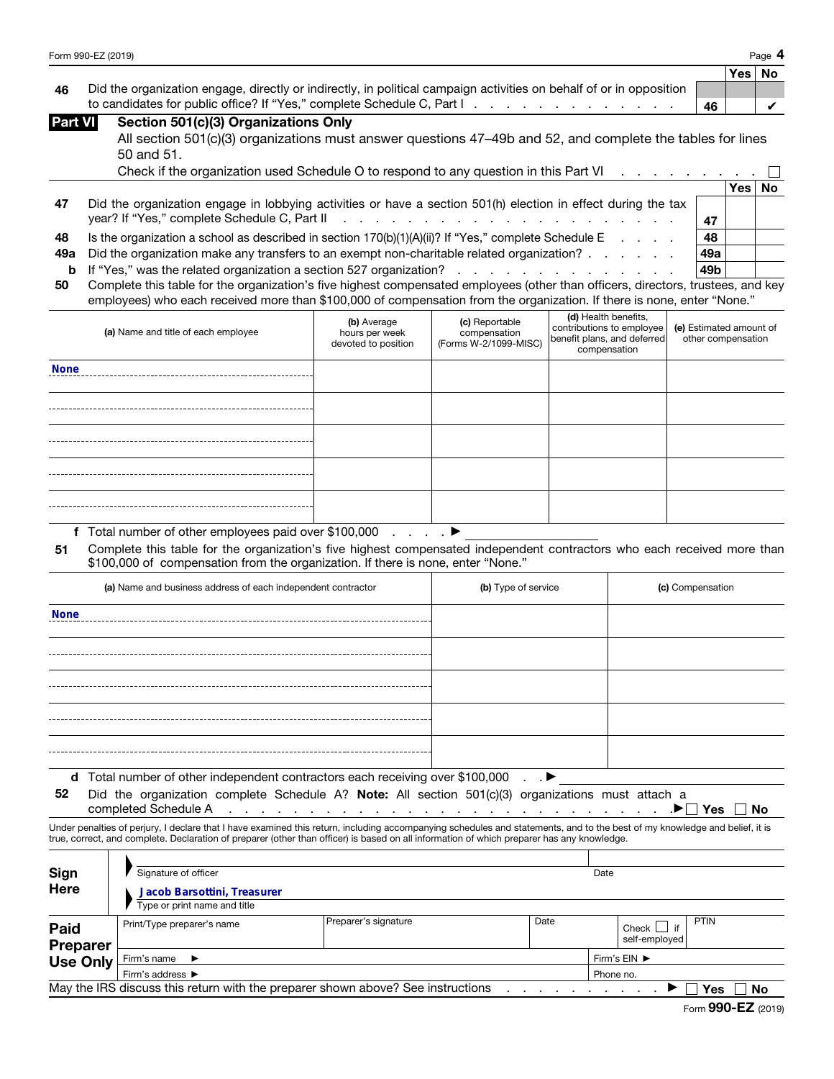| Form 990-EZ (2019) | Page |
|--------------------|------|
|--------------------|------|

|    |                                                                                                                     |    | ∣Yes ∣ No |  |
|----|---------------------------------------------------------------------------------------------------------------------|----|-----------|--|
| 46 | Did the organization engage, directly or indirectly, in political campaign activities on behalf of or in opposition |    |           |  |
|    | to candidates for public office? If "Yes," complete Schedule C, Part I. A. A. A. A. A. A. A. A. A. A.               | 46 |           |  |

| Part VII |  | Section 501(c)(3) Organizations Only |  |
|----------|--|--------------------------------------|--|
|          |  |                                      |  |

| All section 501(c)(3) organizations must answer questions 47-49b and 52, and complete the tables for lines |  |
|------------------------------------------------------------------------------------------------------------|--|
| 50 and 51.                                                                                                 |  |

|    | Check if the organization used Schedule O to respond to any question in this Part VI                          |     |      |           |
|----|---------------------------------------------------------------------------------------------------------------|-----|------|-----------|
|    |                                                                                                               |     | Yes⊺ | <b>No</b> |
| 47 | Did the organization engage in lobbying activities or have a section 501(h) election in effect during the tax |     |      |           |
|    |                                                                                                               | 47  |      |           |
| 48 | Is the organization a school as described in section $170(b)(1)(A)(ii)$ ? If "Yes," complete Schedule E       | 48  |      |           |
|    | 49a Did the organization make any transfers to an exempt non-charitable related organization?                 | 49a |      |           |
|    | <b>b</b> If "Yes," was the related organization a section 527 organization?                                   | 49b |      |           |
|    |                                                                                                               |     |      |           |

|                | to candidates for public office? If "Yes," complete Schedule C, Part I.                                                                                                                                     |                                       |                                                                                                                                                                                                                               |                             |                           | 46                      |     | ✓         |
|----------------|-------------------------------------------------------------------------------------------------------------------------------------------------------------------------------------------------------------|---------------------------------------|-------------------------------------------------------------------------------------------------------------------------------------------------------------------------------------------------------------------------------|-----------------------------|---------------------------|-------------------------|-----|-----------|
| <b>Part VI</b> | Section 501(c)(3) Organizations Only                                                                                                                                                                        |                                       |                                                                                                                                                                                                                               |                             |                           |                         |     |           |
|                | All section 501(c)(3) organizations must answer questions 47–49b and 52, and complete the tables for lines                                                                                                  |                                       |                                                                                                                                                                                                                               |                             |                           |                         |     |           |
|                | 50 and 51.                                                                                                                                                                                                  |                                       |                                                                                                                                                                                                                               |                             |                           |                         |     |           |
|                | Check if the organization used Schedule O to respond to any question in this Part VI                                                                                                                        |                                       |                                                                                                                                                                                                                               |                             |                           |                         |     |           |
|                |                                                                                                                                                                                                             |                                       |                                                                                                                                                                                                                               |                             |                           |                         | Yes | <b>No</b> |
| 47             | Did the organization engage in lobbying activities or have a section 501(h) election in effect during the tax                                                                                               |                                       |                                                                                                                                                                                                                               |                             |                           |                         |     |           |
|                | year? If "Yes," complete Schedule C, Part II                                                                                                                                                                |                                       | a construction of the construction of the construction of the construction of the construction of the construction of the construction of the construction of the construction of the construction of the construction of the |                             |                           | 47                      |     |           |
| 48             | Is the organization a school as described in section 170(b)(1)(A)(ii)? If "Yes," complete Schedule E                                                                                                        |                                       |                                                                                                                                                                                                                               |                             |                           | 48                      |     |           |
| 49a            | Did the organization make any transfers to an exempt non-charitable related organization?                                                                                                                   |                                       |                                                                                                                                                                                                                               |                             |                           | 49a                     |     |           |
| b              | If "Yes," was the related organization a section 527 organization?                                                                                                                                          |                                       | and the contract of the contract of the con-                                                                                                                                                                                  |                             |                           | 49 <sub>b</sub>         |     |           |
| 50             | Complete this table for the organization's five highest compensated employees (other than officers, directors, trustees, and key                                                                            |                                       |                                                                                                                                                                                                                               |                             |                           |                         |     |           |
|                | employees) who each received more than \$100,000 of compensation from the organization. If there is none, enter "None."                                                                                     |                                       |                                                                                                                                                                                                                               |                             |                           |                         |     |           |
|                |                                                                                                                                                                                                             | (b) Average                           | (c) Reportable                                                                                                                                                                                                                | (d) Health benefits,        | contributions to employee | (e) Estimated amount of |     |           |
|                | (a) Name and title of each employee                                                                                                                                                                         | hours per week<br>devoted to position | compensation<br>(Forms W-2/1099-MISC)                                                                                                                                                                                         | benefit plans, and deferred |                           | other compensation      |     |           |
|                |                                                                                                                                                                                                             |                                       |                                                                                                                                                                                                                               |                             | compensation              |                         |     |           |
| <b>None</b>    |                                                                                                                                                                                                             |                                       |                                                                                                                                                                                                                               |                             |                           |                         |     |           |
|                |                                                                                                                                                                                                             |                                       |                                                                                                                                                                                                                               |                             |                           |                         |     |           |
|                |                                                                                                                                                                                                             |                                       |                                                                                                                                                                                                                               |                             |                           |                         |     |           |
|                |                                                                                                                                                                                                             |                                       |                                                                                                                                                                                                                               |                             |                           |                         |     |           |
|                |                                                                                                                                                                                                             |                                       |                                                                                                                                                                                                                               |                             |                           |                         |     |           |
|                |                                                                                                                                                                                                             |                                       |                                                                                                                                                                                                                               |                             |                           |                         |     |           |
|                |                                                                                                                                                                                                             |                                       |                                                                                                                                                                                                                               |                             |                           |                         |     |           |
|                |                                                                                                                                                                                                             |                                       |                                                                                                                                                                                                                               |                             |                           |                         |     |           |
|                |                                                                                                                                                                                                             |                                       |                                                                                                                                                                                                                               |                             |                           |                         |     |           |
|                |                                                                                                                                                                                                             |                                       |                                                                                                                                                                                                                               |                             |                           |                         |     |           |
|                | f Total number of other employees paid over \$100,000                                                                                                                                                       | and a state of                        |                                                                                                                                                                                                                               |                             |                           |                         |     |           |
| 51             | Complete this table for the organization's five highest compensated independent contractors who each received more than<br>\$100,000 of compensation from the organization. If there is none, enter "None." |                                       |                                                                                                                                                                                                                               |                             |                           |                         |     |           |
|                | (a) Name and business address of each independent contractor                                                                                                                                                |                                       | (b) Type of service                                                                                                                                                                                                           |                             |                           | (c) Compensation        |     |           |
|                |                                                                                                                                                                                                             |                                       |                                                                                                                                                                                                                               |                             |                           |                         |     |           |

| (b) Type of service                                                                              | (c) Compensation |
|--------------------------------------------------------------------------------------------------|------------------|
|                                                                                                  |                  |
|                                                                                                  |                  |
|                                                                                                  |                  |
|                                                                                                  |                  |
|                                                                                                  |                  |
| d Total number of other independent contractors each receiving over \$100,000<br>$\cdot$ $\cdot$ |                  |
|                                                                                                  |                  |

52 Did the organization complete Schedule A? Note: All section 501(c)(3) organizations must attach a

completed Schedule A . . . . . . . . . . . . . . . . . . . . . . . . . . . .▶ Yes No

Under penalties of perjury, I declare that I have examined this return, including accompanying schedules and statements, and to the best of my knowledge and belief, it is true, correct, and complete. Declaration of preparer (other than officer) is based on all information of which preparer has any knowledge.

| Sign<br>Here                                                                                 | Signature of officer<br>Jacob Barsottini, Treasurer |                      |      | Date         |                                 |             |  |
|----------------------------------------------------------------------------------------------|-----------------------------------------------------|----------------------|------|--------------|---------------------------------|-------------|--|
|                                                                                              | Type or print name and title                        |                      |      |              |                                 |             |  |
| <b>Paid</b><br><b>Preparer</b>                                                               | Print/Type preparer's name                          | Preparer's signature | Date |              | $Check$ $\Box$<br>self-employed | <b>PTIN</b> |  |
| <b>Use Only</b>                                                                              | Firm's name                                         |                      |      | Firm's EIN ▶ |                                 |             |  |
|                                                                                              | Firm's address ▶                                    |                      |      | Phone no.    |                                 |             |  |
| May the IRS discuss this return with the preparer shown above? See instructions<br>No<br>Yes |                                                     |                      |      |              |                                 |             |  |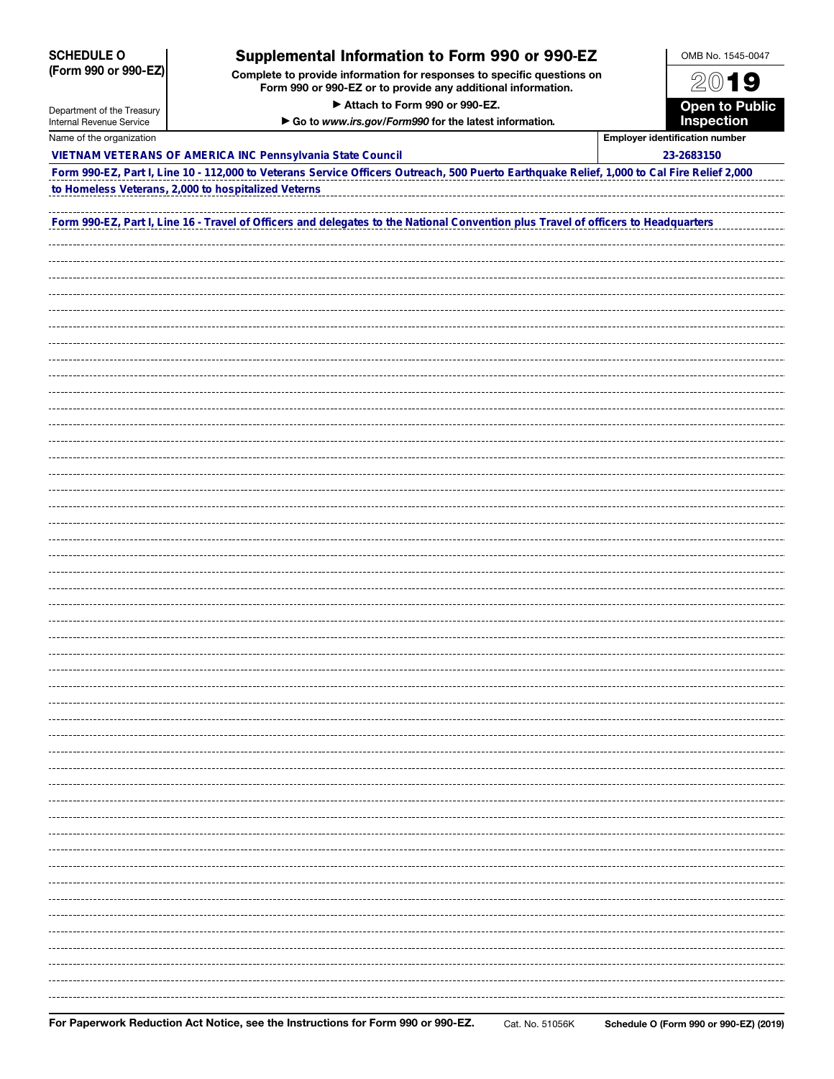| <b>SCHEDULE O</b> |  |  |                      |  |  |
|-------------------|--|--|----------------------|--|--|
|                   |  |  | (Form 990 or 990-EZ) |  |  |

Department of the Treasury Internal Revenue Service

### Supplemental Information to Form 990 or 990-EZ

Complete to provide information for responses to specific questions on Form 990 or 990-EZ or to provide any additional information.

▶ Attach to Form 990 or 990-EZ.

▶ Go to *www.irs.gov/Form990* for the latest information*.*



| Name of the organization                                                                                                                   | <b>Employer identification number</b> |  |  |  |
|--------------------------------------------------------------------------------------------------------------------------------------------|---------------------------------------|--|--|--|
| VIETNAM VETERANS OF AMERICA INC Pennsylvania State Council                                                                                 | 23-2683150                            |  |  |  |
| Form 990-EZ, Part I, Line 10 - 112,000 to Veterans Service Officers Outreach, 500 Puerto Earthquake Relief, 1,000 to Cal Fire Relief 2,000 |                                       |  |  |  |
| to Homeless Veterans, 2,000 to hospitalized Veterns                                                                                        |                                       |  |  |  |
|                                                                                                                                            |                                       |  |  |  |
| Form 990-EZ, Part I, Line 16 - Travel of Officers and delegates to the National Convention plus Travel of officers to Headquarters         |                                       |  |  |  |
|                                                                                                                                            |                                       |  |  |  |
|                                                                                                                                            |                                       |  |  |  |
|                                                                                                                                            |                                       |  |  |  |
|                                                                                                                                            |                                       |  |  |  |
|                                                                                                                                            |                                       |  |  |  |
|                                                                                                                                            |                                       |  |  |  |
|                                                                                                                                            |                                       |  |  |  |
|                                                                                                                                            |                                       |  |  |  |
|                                                                                                                                            |                                       |  |  |  |
|                                                                                                                                            |                                       |  |  |  |
|                                                                                                                                            |                                       |  |  |  |
|                                                                                                                                            |                                       |  |  |  |
|                                                                                                                                            |                                       |  |  |  |
|                                                                                                                                            |                                       |  |  |  |
|                                                                                                                                            |                                       |  |  |  |
|                                                                                                                                            |                                       |  |  |  |
|                                                                                                                                            |                                       |  |  |  |
|                                                                                                                                            |                                       |  |  |  |
|                                                                                                                                            |                                       |  |  |  |
|                                                                                                                                            |                                       |  |  |  |
|                                                                                                                                            |                                       |  |  |  |
|                                                                                                                                            |                                       |  |  |  |
|                                                                                                                                            |                                       |  |  |  |
|                                                                                                                                            |                                       |  |  |  |
|                                                                                                                                            |                                       |  |  |  |
|                                                                                                                                            |                                       |  |  |  |
|                                                                                                                                            |                                       |  |  |  |
|                                                                                                                                            |                                       |  |  |  |
|                                                                                                                                            |                                       |  |  |  |
|                                                                                                                                            |                                       |  |  |  |
|                                                                                                                                            |                                       |  |  |  |
|                                                                                                                                            |                                       |  |  |  |
|                                                                                                                                            |                                       |  |  |  |
|                                                                                                                                            |                                       |  |  |  |
|                                                                                                                                            |                                       |  |  |  |
|                                                                                                                                            |                                       |  |  |  |
|                                                                                                                                            |                                       |  |  |  |
|                                                                                                                                            |                                       |  |  |  |
|                                                                                                                                            |                                       |  |  |  |
|                                                                                                                                            |                                       |  |  |  |
|                                                                                                                                            |                                       |  |  |  |
|                                                                                                                                            |                                       |  |  |  |
|                                                                                                                                            |                                       |  |  |  |
|                                                                                                                                            |                                       |  |  |  |
|                                                                                                                                            |                                       |  |  |  |
|                                                                                                                                            |                                       |  |  |  |
|                                                                                                                                            |                                       |  |  |  |
|                                                                                                                                            |                                       |  |  |  |
|                                                                                                                                            |                                       |  |  |  |
|                                                                                                                                            |                                       |  |  |  |